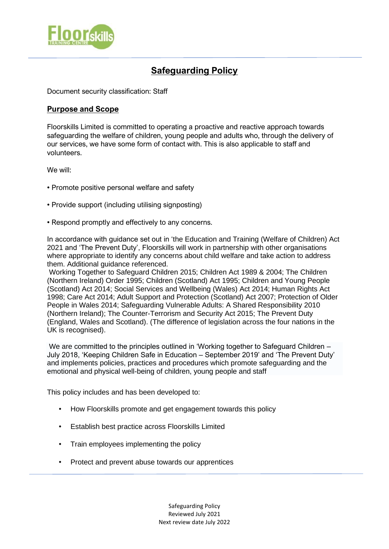

# **Safeguarding Policy**

Document security classification: Staff

# **Purpose and Scope**

Floorskills Limited is committed to operating a proactive and reactive approach towards safeguarding the welfare of children, young people and adults who, through the delivery of our services, we have some form of contact with. This is also applicable to staff and volunteers.

We will:

- Promote positive personal welfare and safety
- Provide support (including utilising signposting)
- Respond promptly and effectively to any concerns.

In accordance with guidance set out in 'the Education and Training (Welfare of Children) Act 2021 and 'The Prevent Duty', Floorskills will work in partnership with other organisations where appropriate to identify any concerns about child welfare and take action to address them. Additional guidance referenced.

Working Together to Safeguard Children 2015; Children Act 1989 & 2004; The Children (Northern Ireland) Order 1995; Children (Scotland) Act 1995; Children and Young People (Scotland) Act 2014; Social Services and Wellbeing (Wales) Act 2014; Human Rights Act 1998; Care Act 2014; Adult Support and Protection (Scotland) Act 2007; Protection of Older People in Wales 2014; Safeguarding Vulnerable Adults: A Shared Responsibility 2010 (Northern Ireland); The Counter-Terrorism and Security Act 2015; The Prevent Duty (England, Wales and Scotland). (The difference of legislation across the four nations in the UK is recognised).

We are committed to the principles outlined in 'Working together to Safeguard Children – July 2018, 'Keeping Children Safe in Education – September 2019' and 'The Prevent Duty' and implements policies, practices and procedures which promote safeguarding and the emotional and physical well-being of children, young people and staff

This policy includes and has been developed to:

- How Floorskills promote and get engagement towards this policy
- Establish best practice across Floorskills Limited
- Train employees implementing the policy
- Protect and prevent abuse towards our apprentices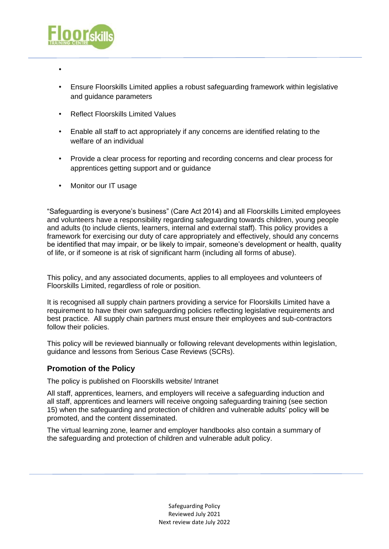

- •
- Ensure Floorskills Limited applies a robust safeguarding framework within legislative and guidance parameters
- Reflect Floorskills Limited Values
- Enable all staff to act appropriately if any concerns are identified relating to the welfare of an individual
- Provide a clear process for reporting and recording concerns and clear process for apprentices getting support and or guidance
- Monitor our IT usage

"Safeguarding is everyone's business" (Care Act 2014) and all Floorskills Limited employees and volunteers have a responsibility regarding safeguarding towards children, young people and adults (to include clients, learners, internal and external staff). This policy provides a framework for exercising our duty of care appropriately and effectively, should any concerns be identified that may impair, or be likely to impair, someone's development or health, quality of life, or if someone is at risk of significant harm (including all forms of abuse).

This policy, and any associated documents, applies to all employees and volunteers of Floorskills Limited, regardless of role or position.

It is recognised all supply chain partners providing a service for Floorskills Limited have a requirement to have their own safeguarding policies reflecting legislative requirements and best practice. All supply chain partners must ensure their employees and sub-contractors follow their policies.

This policy will be reviewed biannually or following relevant developments within legislation, guidance and lessons from Serious Case Reviews (SCRs).

# **Promotion of the Policy**

The policy is published on Floorskills website/ Intranet

All staff, apprentices, learners, and employers will receive a safeguarding induction and all staff, apprentices and learners will receive ongoing safeguarding training (see section 15) when the safeguarding and protection of children and vulnerable adults' policy will be promoted, and the content disseminated.

The virtual learning zone, learner and employer handbooks also contain a summary of the safeguarding and protection of children and vulnerable adult policy.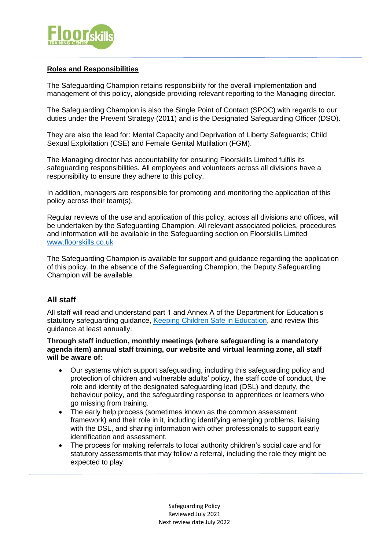

## **Roles and Responsibilities**

The Safeguarding Champion retains responsibility for the overall implementation and management of this policy, alongside providing relevant reporting to the Managing director.

The Safeguarding Champion is also the Single Point of Contact (SPOC) with regards to our duties under the Prevent Strategy (2011) and is the Designated Safeguarding Officer (DSO).

They are also the lead for: Mental Capacity and Deprivation of Liberty Safeguards; Child Sexual Exploitation (CSE) and Female Genital Mutilation (FGM).

The Managing director has accountability for ensuring Floorskills Limited fulfils its safeguarding responsibilities. All employees and volunteers across all divisions have a responsibility to ensure they adhere to this policy.

In addition, managers are responsible for promoting and monitoring the application of this policy across their team(s).

Regular reviews of the use and application of this policy, across all divisions and offices, will be undertaken by the Safeguarding Champion. All relevant associated policies, procedures and information will be available in the Safeguarding section on Floorskills Limited [www.floorskills.co.uk](http://www.floorskills.co.uk/)

The Safeguarding Champion is available for support and guidance regarding the application of this policy. In the absence of the Safeguarding Champion, the Deputy Safeguarding Champion will be available.

### **All staff**

All staff will read and understand part 1 and Annex A of the Department for Education's statutory safeguarding guidance, [Keeping Children Safe in Education,](https://www.gov.uk/government/publications/keeping-children-safe-in-education--2) and review this guidance at least annually.

#### **Through staff induction, monthly meetings (where safeguarding is a mandatory agenda item) annual staff training, our website and virtual learning zone, all staff will be aware of:**

- Our systems which support safeguarding, including this safeguarding policy and protection of children and vulnerable adults' policy, the staff code of conduct, the role and identity of the designated safeguarding lead (DSL) and deputy, the behaviour policy, and the safeguarding response to apprentices or learners who go missing from training.
- The early help process (sometimes known as the common assessment framework) and their role in it, including identifying emerging problems, liaising with the DSL, and sharing information with other professionals to support early identification and assessment.
- The process for making referrals to local authority children's social care and for statutory assessments that may follow a referral, including the role they might be expected to play.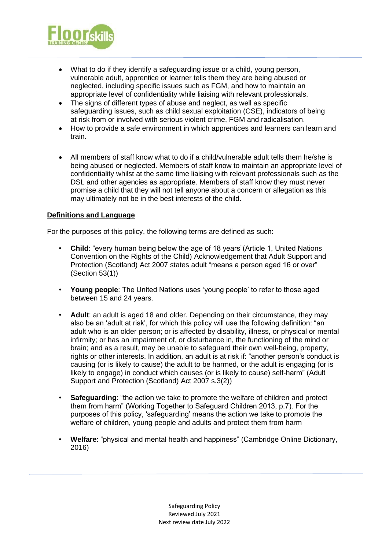

- What to do if they identify a safeguarding issue or a child, young person, vulnerable adult, apprentice or learner tells them they are being abused or neglected, including specific issues such as FGM, and how to maintain an appropriate level of confidentiality while liaising with relevant professionals.
- The signs of different types of abuse and neglect, as well as specific safeguarding issues, such as child sexual exploitation (CSE), indicators of being at risk from or involved with serious violent crime, FGM and radicalisation.
- How to provide a safe environment in which apprentices and learners can learn and train.
- All members of staff know what to do if a child/vulnerable adult tells them he/she is being abused or neglected. Members of staff know to maintain an appropriate level of confidentiality whilst at the same time liaising with relevant professionals such as the DSL and other agencies as appropriate. Members of staff know they must never promise a child that they will not tell anyone about a concern or allegation as this may ultimately not be in the best interests of the child.

#### **Definitions and Language**

For the purposes of this policy, the following terms are defined as such:

- **Child**: "every human being below the age of 18 years"(Article 1, United Nations Convention on the Rights of the Child) Acknowledgement that Adult Support and Protection (Scotland) Act 2007 states adult "means a person aged 16 or over" (Section 53(1))
- **Young people**: The United Nations uses 'young people' to refer to those aged between 15 and 24 years.
- **Adult**: an adult is aged 18 and older. Depending on their circumstance, they may also be an 'adult at risk', for which this policy will use the following definition: "an adult who is an older person; or is affected by disability, illness, or physical or mental infirmity; or has an impairment of, or disturbance in, the functioning of the mind or brain; and as a result, may be unable to safeguard their own well-being, property, rights or other interests. In addition, an adult is at risk if: "another person's conduct is causing (or is likely to cause) the adult to be harmed, or the adult is engaging (or is likely to engage) in conduct which causes (or is likely to cause) self-harm" (Adult Support and Protection (Scotland) Act 2007 s.3(2))
- **Safeguarding**: "the action we take to promote the welfare of children and protect them from harm" (Working Together to Safeguard Children 2013, p.7). For the purposes of this policy, 'safeguarding' means the action we take to promote the welfare of children, young people and adults and protect them from harm
- **Welfare**: "physical and mental health and happiness" (Cambridge Online Dictionary, 2016)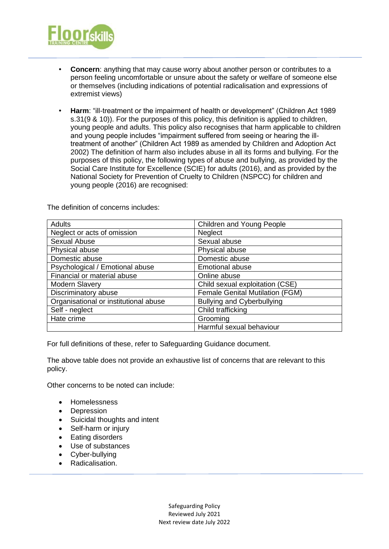

- **Concern**: anything that may cause worry about another person or contributes to a person feeling uncomfortable or unsure about the safety or welfare of someone else or themselves (including indications of potential radicalisation and expressions of extremist views)
- **Harm**: "ill-treatment or the impairment of health or development" (Children Act 1989 s.31(9 & 10)). For the purposes of this policy, this definition is applied to children, young people and adults. This policy also recognises that harm applicable to children and young people includes "impairment suffered from seeing or hearing the illtreatment of another" (Children Act 1989 as amended by Children and Adoption Act 2002) The definition of harm also includes abuse in all its forms and bullying. For the purposes of this policy, the following types of abuse and bullying, as provided by the Social Care Institute for Excellence (SCIE) for adults (2016), and as provided by the National Society for Prevention of Cruelty to Children (NSPCC) for children and young people (2016) are recognised:

The definition of concerns includes:

| <b>Adults</b>                         | Children and Young People              |
|---------------------------------------|----------------------------------------|
| Neglect or acts of omission           | Neglect                                |
| <b>Sexual Abuse</b>                   | Sexual abuse                           |
| Physical abuse                        | Physical abuse                         |
| Domestic abuse                        | Domestic abuse                         |
| Psychological / Emotional abuse       | <b>Emotional abuse</b>                 |
| Financial or material abuse           | Online abuse                           |
| <b>Modern Slavery</b>                 | Child sexual exploitation (CSE)        |
| Discriminatory abuse                  | <b>Female Genital Mutilation (FGM)</b> |
| Organisational or institutional abuse | <b>Bullying and Cyberbullying</b>      |
| Self - neglect                        | Child trafficking                      |
| Hate crime                            | Grooming                               |
|                                       | Harmful sexual behaviour               |

For full definitions of these, refer to Safeguarding Guidance document.

The above table does not provide an exhaustive list of concerns that are relevant to this policy.

Other concerns to be noted can include:

- Homelessness
- Depression
- Suicidal thoughts and intent
- Self-harm or injury
- Eating disorders
- Use of substances
- Cyber-bullying
- Radicalisation.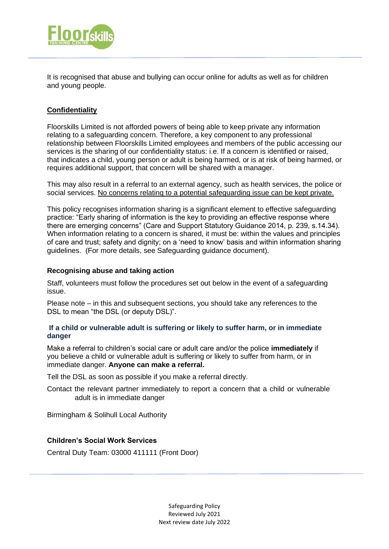

It is recognised that abuse and bullying can occur online for adults as well as for children and young people.

# **Confidentiality**

Floorskills Limited is not afforded powers of being able to keep private any information relating to a safeguarding concern. Therefore, a key component to any professional relationship between Floorskills Limited employees and members of the public accessing our services is the sharing of our confidentiality status: i.e. If a concern is identified or raised, that indicates a child, young person or adult is being harmed, or is at risk of being harmed, or requires additional support, that concern will be shared with a manager.

This may also result in a referral to an external agency, such as health services, the police or social services. No concerns relating to a potential safeguarding issue can be kept private.

This policy recognises information sharing is a significant element to effective safeguarding practice: "Early sharing of information is the key to providing an effective response where there are emerging concerns" (Care and Support Statutory Guidance 2014, p. 239, s.14.34). When information relating to a concern is shared, it must be: within the values and principles of care and trust; safety and dignity; on a 'need to know' basis and within information sharing guidelines. (For more details, see Safeguarding guidance document).

#### **Recognising abuse and taking action**

Staff, volunteers must follow the procedures set out below in the event of a safeguarding issue.

Please note – in this and subsequent sections, you should take any references to the DSL to mean "the DSL (or deputy DSL)".

#### **If a child or vulnerable adult is suffering or likely to suffer harm, or in immediate danger**

Make a referral to children's social care or adult care and/or the police **immediately** if you believe a child or vulnerable adult is suffering or likely to suffer from harm, or in immediate danger. **Anyone can make a referral.**

Tell the DSL as soon as possible if you make a referral directly.

Contact the relevant partner immediately to report a concern that a child or vulnerable adult is in immediate danger

Birmingham & Solihull Local Authority

# **Children's Social Work Services**

Central Duty Team: 03000 411111 (Front Door)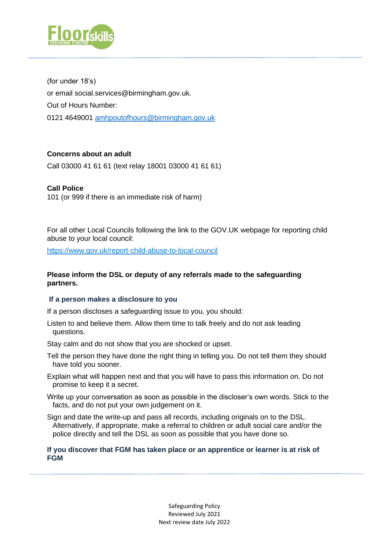

(for under 18's) or email social.services@birmingham.gov.uk. Out of Hours Number: 0121 4649001 [amhpoutofhours@birmingham.gov.uk](mailto:amhpoutofhours@birmingham.gov.uk)

# **Concerns about an adult**

Call 03000 41 61 61 (text relay 18001 03000 41 61 61)

# **Call Police**

101 (or 999 if there is an immediate risk of harm)

For all other Local Councils following the link to the GOV.UK webpage for reporting child abuse to your local council:

<https://www.gov.uk/report-child-abuse-to-local-council>

# **Please inform the DSL or deputy of any referrals made to the safeguarding partners.**

### **If a person makes a disclosure to you**

If a person discloses a safeguarding issue to you, you should:

Listen to and believe them. Allow them time to talk freely and do not ask leading questions.

Stay calm and do not show that you are shocked or upset.

- Tell the person they have done the right thing in telling you. Do not tell them they should have told you sooner.
- Explain what will happen next and that you will have to pass this information on. Do not promise to keep it a secret.
- Write up your conversation as soon as possible in the discloser's own words. Stick to the facts, and do not put your own judgement on it.
- Sign and date the write-up and pass all records, including originals on to the DSL. Alternatively, if appropriate, make a referral to children or adult social care and/or the police directly and tell the DSL as soon as possible that you have done so.

#### **If you discover that FGM has taken place or an apprentice or learner is at risk of FGM**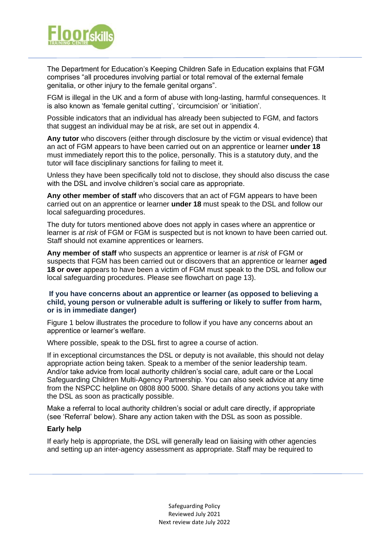

The Department for Education's Keeping Children Safe in Education explains that FGM comprises "all procedures involving partial or total removal of the external female genitalia, or other injury to the female genital organs".

FGM is illegal in the UK and a form of abuse with long-lasting, harmful consequences. It is also known as 'female genital cutting', 'circumcision' or 'initiation'.

Possible indicators that an individual has already been subjected to FGM, and factors that suggest an individual may be at risk, are set out in appendix 4.

**Any tutor** who discovers (either through disclosure by the victim or visual evidence) that an act of FGM appears to have been carried out on an apprentice or learner **under 18** must immediately report this to the police, personally. This is a statutory duty, and the tutor will face disciplinary sanctions for failing to meet it.

Unless they have been specifically told not to disclose, they should also discuss the case with the DSL and involve children's social care as appropriate.

**Any other member of staff** who discovers that an act of FGM appears to have been carried out on an apprentice or learner **under 18** must speak to the DSL and follow our local safeguarding procedures.

The duty for tutors mentioned above does not apply in cases where an apprentice or learner is *at risk* of FGM or FGM is suspected but is not known to have been carried out. Staff should not examine apprentices or learners.

**Any member of staff** who suspects an apprentice or learner is *at risk* of FGM or suspects that FGM has been carried out or discovers that an apprentice or learner **aged 18 or over** appears to have been a victim of FGM must speak to the DSL and follow our local safeguarding procedures. Please see flowchart on page 13).

#### **If you have concerns about an apprentice or learner (as opposed to believing a child, young person or vulnerable adult is suffering or likely to suffer from harm, or is in immediate danger)**

Figure 1 below illustrates the procedure to follow if you have any concerns about an apprentice or learner's welfare.

Where possible, speak to the DSL first to agree a course of action.

If in exceptional circumstances the DSL or deputy is not available, this should not delay appropriate action being taken. Speak to a member of the senior leadership team. And/or take advice from local authority children's social care, adult care or the Local Safeguarding Children Multi-Agency Partnership. You can also seek advice at any time from the NSPCC helpline on 0808 800 5000. Share details of any actions you take with the DSL as soon as practically possible.

Make a referral to local authority children's social or adult care directly, if appropriate (see 'Referral' below). Share any action taken with the DSL as soon as possible.

#### **Early help**

If early help is appropriate, the DSL will generally lead on liaising with other agencies and setting up an inter-agency assessment as appropriate. Staff may be required to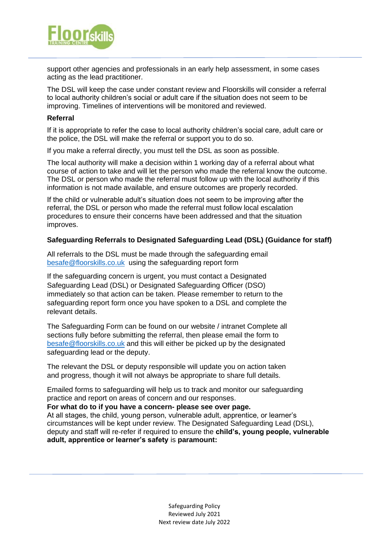

support other agencies and professionals in an early help assessment, in some cases acting as the lead practitioner.

The DSL will keep the case under constant review and Floorskills will consider a referral to local authority children's social or adult care if the situation does not seem to be improving. Timelines of interventions will be monitored and reviewed.

#### **Referral**

If it is appropriate to refer the case to local authority children's social care, adult care or the police, the DSL will make the referral or support you to do so.

If you make a referral directly, you must tell the DSL as soon as possible.

The local authority will make a decision within 1 working day of a referral about what course of action to take and will let the person who made the referral know the outcome. The DSL or person who made the referral must follow up with the local authority if this information is not made available, and ensure outcomes are properly recorded.

If the child or vulnerable adult's situation does not seem to be improving after the referral, the DSL or person who made the referral must follow local escalation procedures to ensure their concerns have been addressed and that the situation improves.

#### **Safeguarding Referrals to Designated Safeguarding Lead (DSL) (Guidance for staff)**

All referrals to the DSL must be made through the safeguarding email [besafe@floorskills.co.uk](mailto:besafe@floorskills.co.uk) using the safeguarding report form

If the safeguarding concern is urgent, you must contact a Designated Safeguarding Lead (DSL) or Designated Safeguarding Officer (DSO) immediately so that action can be taken. Please remember to return to the safeguarding report form once you have spoken to a DSL and complete the relevant details.

The Safeguarding Form can be found on our website / intranet Complete all sections fully before submitting the referral, then please email the form to [besafe@floorskills.co.uk](mailto:besafe@floorskills.co.uk) and this will either be picked up by the designated safeguarding lead or the deputy.

The relevant the DSL or deputy responsible will update you on action taken and progress, though it will not always be appropriate to share full details.

Emailed forms to safeguarding will help us to track and monitor our safeguarding practice and report on areas of concern and our responses.

**For what do to if you have a concern- please see over page.**

At all stages, the child, young person, vulnerable adult, apprentice, or learner's circumstances will be kept under review. The Designated Safeguarding Lead (DSL), deputy and staff will re-refer if required to ensure the **child's, young people, vulnerable adult, apprentice or learner's safety** is **paramount:**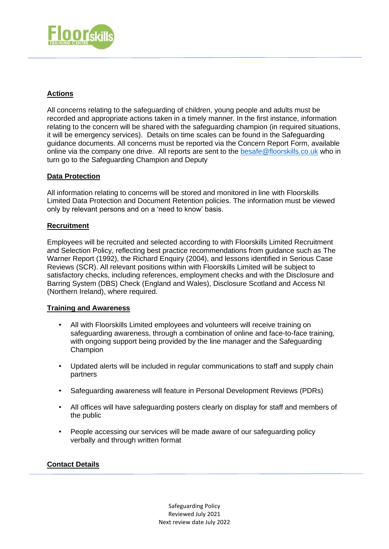

# **Actions**

All concerns relating to the safeguarding of children, young people and adults must be recorded and appropriate actions taken in a timely manner. In the first instance, information relating to the concern will be shared with the safeguarding champion (in required situations, it will be emergency services). Details on time scales can be found in the Safeguarding guidance documents. All concerns must be reported via the Concern Report Form, available online via the company one drive. All reports are sent to the [besafe@floorskills.co.uk](mailto:besafe@floorskills.co.uk) who in turn go to the Safeguarding Champion and Deputy

# **Data Protection**

All information relating to concerns will be stored and monitored in line with Floorskills Limited Data Protection and Document Retention policies. The information must be viewed only by relevant persons and on a 'need to know' basis.

### **Recruitment**

Employees will be recruited and selected according to with Floorskills Limited Recruitment and Selection Policy, reflecting best practice recommendations from guidance such as The Warner Report (1992), the Richard Enquiry (2004), and lessons identified in Serious Case Reviews (SCR). All relevant positions within with Floorskills Limited will be subject to satisfactory checks, including references, employment checks and with the Disclosure and Barring System (DBS) Check (England and Wales), Disclosure Scotland and Access NI (Northern Ireland), where required.

### **Training and Awareness**

- All with Floorskills Limited employees and volunteers will receive training on safeguarding awareness, through a combination of online and face-to-face training, with ongoing support being provided by the line manager and the Safeguarding Champion
- Updated alerts will be included in regular communications to staff and supply chain partners
- Safeguarding awareness will feature in Personal Development Reviews (PDRs)
- All offices will have safeguarding posters clearly on display for staff and members of the public
- People accessing our services will be made aware of our safeguarding policy verbally and through written format

### **Contact Details**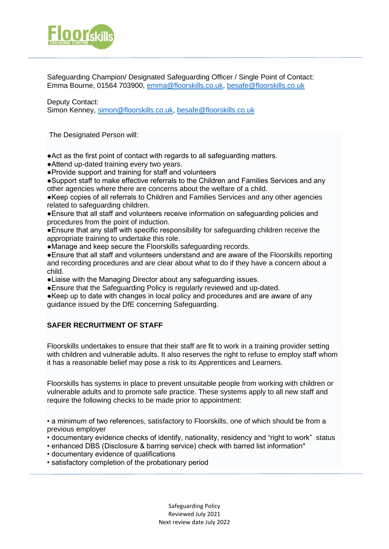

Safeguarding Champion/ Designated Safeguarding Officer / Single Point of Contact: Emma Bourne, 01564 703900, [emma@floorskills.co.uk,](mailto:emma@floorskills.co.uk) [besafe@floorskills.co.uk](mailto:besafe@floorskills.co.uk)

Deputy Contact: Simon Kenney, [simon@floorskills.co.uk,](mailto:simon@floorskills.co.uk) [besafe@floorskills.co.uk](mailto:besafe@floorskills.co.uk)

The Designated Person will:

●Act as the first point of contact with regards to all safeguarding matters.

●Attend up-dated training every two years.

●Provide support and training for staff and volunteers

●Support staff to make effective referrals to the Children and Families Services and any other agencies where there are concerns about the welfare of a child.

●Keep copies of all referrals to Children and Families Services and any other agencies related to safeguarding children.

●Ensure that all staff and volunteers receive information on safeguarding policies and procedures from the point of induction.

●Ensure that any staff with specific responsibility for safeguarding children receive the appropriate training to undertake this role.

●Manage and keep secure the Floorskills safeguarding records.

●Ensure that all staff and volunteers understand and are aware of the Floorskills reporting and recording procedures and are clear about what to do if they have a concern about a child.

●Liaise with the Managing Director about any safeguarding issues.

●Ensure that the Safeguarding Policy is regularly reviewed and up-dated.

●Keep up to date with changes in local policy and procedures and are aware of any guidance issued by the DfE concerning Safeguarding.

# **SAFER RECRUITMENT OF STAFF**

Floorskills undertakes to ensure that their staff are fit to work in a training provider setting with children and vulnerable adults. It also reserves the right to refuse to employ staff whom it has a reasonable belief may pose a risk to its Apprentices and Learners.

Floorskills has systems in place to prevent unsuitable people from working with children or vulnerable adults and to promote safe practice. These systems apply to all new staff and require the following checks to be made prior to appointment:

• a minimum of two references, satisfactory to Floorskills, one of which should be from a previous employer

• documentary evidence checks of identify, nationality, residency and "right to work" status

- enhanced DBS (Disclosure & barring service) check with barred list information\*
- documentary evidence of qualifications
- satisfactory completion of the probationary period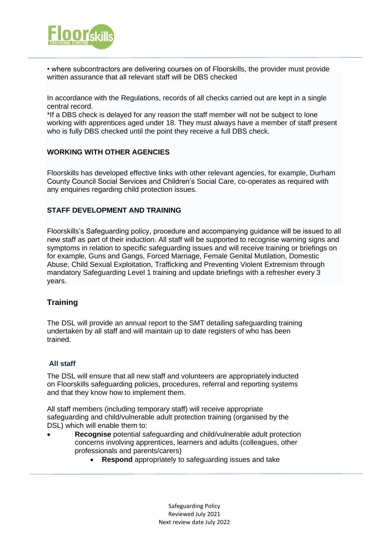

• where subcontractors are delivering courses on of Floorskills, the provider must provide written assurance that all relevant staff will be DBS checked

In accordance with the Regulations, records of all checks carried out are kept in a single central record.

\*If a DBS check is delayed for any reason the staff member will not be subject to lone working with apprentices aged under 18. They must always have a member of staff present who is fully DBS checked until the point they receive a full DBS check.

### **WORKING WITH OTHER AGENCIES**

Floorskills has developed effective links with other relevant agencies, for example, Durham County Council Social Services and Children's Social Care, co-operates as required with any enquiries regarding child protection issues.

#### **STAFF DEVELOPMENT AND TRAINING**

Floorskills's Safeguarding policy, procedure and accompanying guidance will be issued to all new staff as part of their induction. All staff will be supported to recognise warning signs and symptoms in relation to specific safeguarding issues and will receive training or briefings on for example, Guns and Gangs, Forced Marriage, Female Genital Mutilation, Domestic Abuse, Child Sexual Exploitation, Trafficking and Preventing Violent Extremism through mandatory Safeguarding Level 1 training and update briefings with a refresher every 3 years.

# **Training**

The DSL will provide an annual report to the SMT detailing safeguarding training undertaken by all staff and will maintain up to date registers of who has been trained.

### **All staff**

The DSL will ensure that all new staff and volunteers are appropriately inducted on Floorskills safeguarding policies, procedures, referral and reporting systems and that they know how to implement them.

All staff members (including temporary staff) will receive appropriate safeguarding and child/vulnerable adult protection training (organised by the DSL) which will enable them to:

- **Recognise** potential safeguarding and child/vulnerable adult protection concerns involving apprentices, learners and adults (colleagues, other professionals and parents/carers)
	- **Respond** appropriately to safeguarding issues and take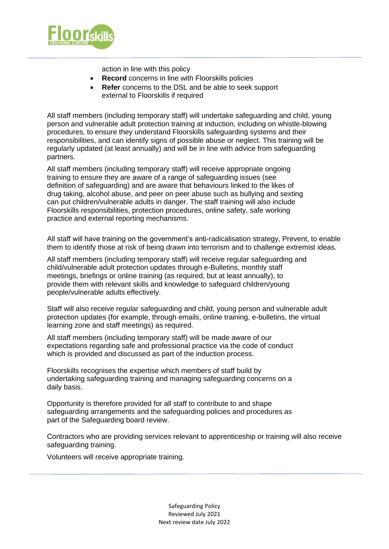

action in line with this policy

- **Record** concerns in line with Floorskills policies
- **Refer** concerns to the DSL and be able to seek support external to Floorskills if required

All staff members (including temporary staff) will undertake safeguarding and child, young person and vulnerable adult protection training at induction, including on whistle-blowing procedures, to ensure they understand Floorskills safeguarding systems and their responsibilities, and can identify signs of possible abuse or neglect. This training will be regularly updated (at least annually) and will be in line with advice from safeguarding partners.

All staff members (including temporary staff) will receive appropriate ongoing training to ensure they are aware of a range of safeguarding issues (see definition of safeguarding) and are aware that behaviours linked to the likes of drug taking, alcohol abuse, and peer on peer abuse such as bullying and sexting can put children/vulnerable adults in danger. The staff training will also include Floorskills responsibilities, protection procedures, online safety, safe working practice and external reporting mechanisms.

All staff will have training on the government's anti-radicalisation strategy, Prevent, to enable them to identify those at risk of being drawn into terrorism and to challenge extremist ideas.

All staff members (including temporary staff) will receive regular safeguarding and child/vulnerable adult protection updates through e-Bulletins, monthly staff meetings, briefings or online training (as required, but at least annually), to provide them with relevant skills and knowledge to safeguard children/young people/vulnerable adults effectively.

Staff will also receive regular safeguarding and child, young person and vulnerable adult protection updates (for example, through emails, online training, e-bulletins, the virtual learning zone and staff meetings) as required.

All staff members (including temporary staff) will be made aware of our expectations regarding safe and professional practice via the code of conduct which is provided and discussed as part of the induction process.

Floorskills recognises the expertise which members of staff build by undertaking safeguarding training and managing safeguarding concerns on a daily basis.

Opportunity is therefore provided for all staff to contribute to and shape safeguarding arrangements and the safeguarding policies and procedures as part of the Safeguarding board review.

Contractors who are providing services relevant to apprenticeship or training will also receive safeguarding training.

Volunteers will receive appropriate training.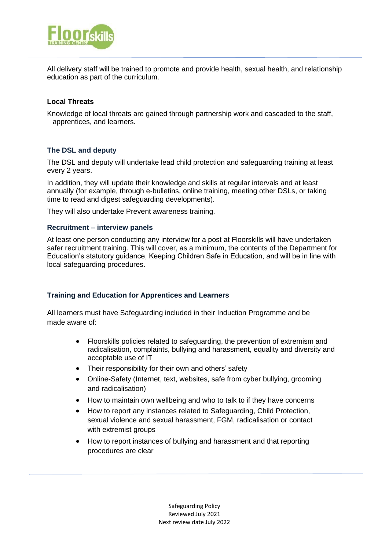

All delivery staff will be trained to promote and provide health, sexual health, and relationship education as part of the curriculum.

# **Local Threats**

Knowledge of local threats are gained through partnership work and cascaded to the staff, apprentices, and learners.

### **The DSL and deputy**

The DSL and deputy will undertake lead child protection and safeguarding training at least every 2 years.

In addition, they will update their knowledge and skills at regular intervals and at least annually (for example, through e-bulletins, online training, meeting other DSLs, or taking time to read and digest safeguarding developments).

They will also undertake Prevent awareness training.

#### **Recruitment – interview panels**

At least one person conducting any interview for a post at Floorskills will have undertaken safer recruitment training. This will cover, as a minimum, the contents of the Department for Education's statutory guidance, Keeping Children Safe in Education, and will be in line with local safeguarding procedures.

### **Training and Education for Apprentices and Learners**

All learners must have Safeguarding included in their Induction Programme and be made aware of:

- Floorskills policies related to safeguarding, the prevention of extremism and radicalisation, complaints, bullying and harassment, equality and diversity and acceptable use of IT
- Their responsibility for their own and others' safety
- Online-Safety (Internet, text, websites, safe from cyber bullying, grooming and radicalisation)
- How to maintain own wellbeing and who to talk to if they have concerns
- How to report any instances related to Safeguarding, Child Protection, sexual violence and sexual harassment, FGM, radicalisation or contact with extremist groups
- How to report instances of bullying and harassment and that reporting procedures are clear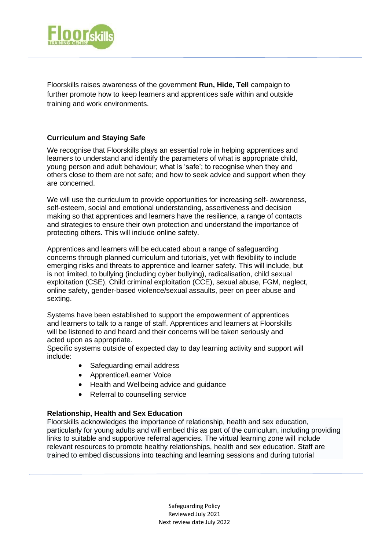

Floorskills raises awareness of the government **Run, Hide, Tell** campaign to further promote how to keep learners and apprentices safe within and outside training and work environments.

## **Curriculum and Staying Safe**

We recognise that Floorskills plays an essential role in helping apprentices and learners to understand and identify the parameters of what is appropriate child, young person and adult behaviour; what is 'safe'; to recognise when they and others close to them are not safe; and how to seek advice and support when they are concerned.

We will use the curriculum to provide opportunities for increasing self- awareness, self-esteem, social and emotional understanding, assertiveness and decision making so that apprentices and learners have the resilience, a range of contacts and strategies to ensure their own protection and understand the importance of protecting others. This will include online safety.

Apprentices and learners will be educated about a range of safeguarding concerns through planned curriculum and tutorials, yet with flexibility to include emerging risks and threats to apprentice and learner safety. This will include, but is not limited, to bullying (including cyber bullying), radicalisation, child sexual exploitation (CSE), Child criminal exploitation (CCE), sexual abuse, FGM, neglect, online safety, gender-based violence/sexual assaults, peer on peer abuse and sexting.

Systems have been established to support the empowerment of apprentices and learners to talk to a range of staff. Apprentices and learners at Floorskills will be listened to and heard and their concerns will be taken seriously and acted upon as appropriate.

Specific systems outside of expected day to day learning activity and support will include:

- Safeguarding email address
- Apprentice/Learner Voice
- Health and Wellbeing advice and guidance
- Referral to counselling service

### **Relationship, Health and Sex Education**

Floorskills acknowledges the importance of relationship, health and sex education, particularly for young adults and will embed this as part of the curriculum, including providing links to suitable and supportive referral agencies. The virtual learning zone will include relevant resources to promote healthy relationships, health and sex education. Staff are trained to embed discussions into teaching and learning sessions and during tutorial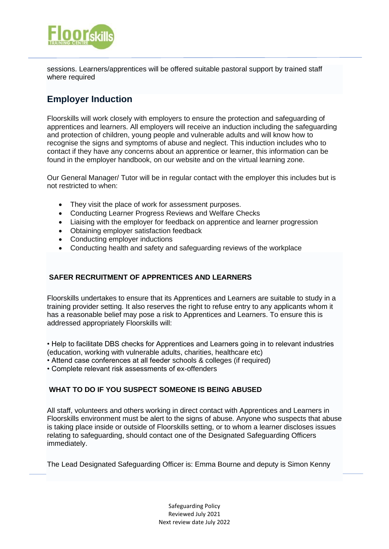

sessions. Learners/apprentices will be offered suitable pastoral support by trained staff where required

# **Employer Induction**

Floorskills will work closely with employers to ensure the protection and safeguarding of apprentices and learners. All employers will receive an induction including the safeguarding and protection of children, young people and vulnerable adults and will know how to recognise the signs and symptoms of abuse and neglect. This induction includes who to contact if they have any concerns about an apprentice or learner, this information can be found in the employer handbook, on our website and on the virtual learning zone.

Our General Manager/ Tutor will be in regular contact with the employer this includes but is not restricted to when:

- They visit the place of work for assessment purposes.
- Conducting Learner Progress Reviews and Welfare Checks
- Liaising with the employer for feedback on apprentice and learner progression
- Obtaining employer satisfaction feedback
- Conducting employer inductions
- Conducting health and safety and safeguarding reviews of the workplace

# **SAFER RECRUITMENT OF APPRENTICES AND LEARNERS**

Floorskills undertakes to ensure that its Apprentices and Learners are suitable to study in a training provider setting. It also reserves the right to refuse entry to any applicants whom it has a reasonable belief may pose a risk to Apprentices and Learners. To ensure this is addressed appropriately Floorskills will:

• Help to facilitate DBS checks for Apprentices and Learners going in to relevant industries (education, working with vulnerable adults, charities, healthcare etc)

• Attend case conferences at all feeder schools & colleges (if required)

• Complete relevant risk assessments of ex-offenders

# **WHAT TO DO IF YOU SUSPECT SOMEONE IS BEING ABUSED**

All staff, volunteers and others working in direct contact with Apprentices and Learners in Floorskills environment must be alert to the signs of abuse. Anyone who suspects that abuse is taking place inside or outside of Floorskills setting, or to whom a learner discloses issues relating to safeguarding, should contact one of the Designated Safeguarding Officers immediately.

The Lead Designated Safeguarding Officer is: Emma Bourne and deputy is Simon Kenny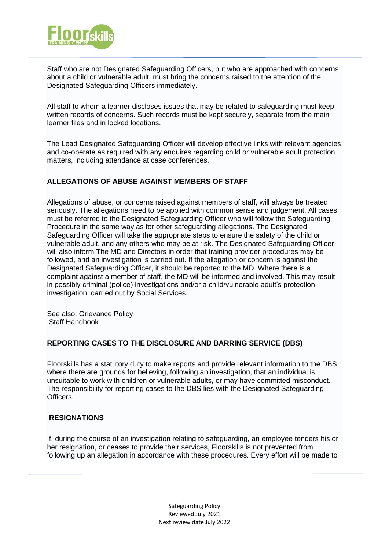

Staff who are not Designated Safeguarding Officers, but who are approached with concerns about a child or vulnerable adult, must bring the concerns raised to the attention of the Designated Safeguarding Officers immediately.

All staff to whom a learner discloses issues that may be related to safeguarding must keep written records of concerns. Such records must be kept securely, separate from the main learner files and in locked locations.

The Lead Designated Safeguarding Officer will develop effective links with relevant agencies and co-operate as required with any enquires regarding child or vulnerable adult protection matters, including attendance at case conferences.

# **ALLEGATIONS OF ABUSE AGAINST MEMBERS OF STAFF**

Allegations of abuse, or concerns raised against members of staff, will always be treated seriously. The allegations need to be applied with common sense and judgement. All cases must be referred to the Designated Safeguarding Officer who will follow the Safeguarding Procedure in the same way as for other safeguarding allegations. The Designated Safeguarding Officer will take the appropriate steps to ensure the safety of the child or vulnerable adult, and any others who may be at risk. The Designated Safeguarding Officer will also inform The MD and Directors in order that training provider procedures may be followed, and an investigation is carried out. If the allegation or concern is against the Designated Safeguarding Officer, it should be reported to the MD. Where there is a complaint against a member of staff, the MD will be informed and involved. This may result in possibly criminal (police) investigations and/or a child/vulnerable adult's protection investigation, carried out by Social Services.

See also: Grievance Policy Staff Handbook

#### **REPORTING CASES TO THE DISCLOSURE AND BARRING SERVICE (DBS)**

Floorskills has a statutory duty to make reports and provide relevant information to the DBS where there are grounds for believing, following an investigation, that an individual is unsuitable to work with children or vulnerable adults, or may have committed misconduct. The responsibility for reporting cases to the DBS lies with the Designated Safeguarding Officers.

### **RESIGNATIONS**

If, during the course of an investigation relating to safeguarding, an employee tenders his or her resignation, or ceases to provide their services, Floorskills is not prevented from following up an allegation in accordance with these procedures. Every effort will be made to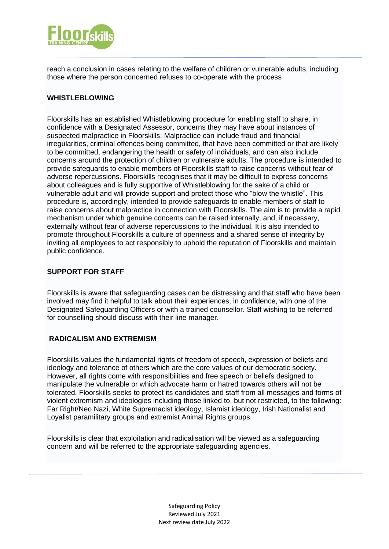

reach a conclusion in cases relating to the welfare of children or vulnerable adults, including those where the person concerned refuses to co-operate with the process

# **WHISTLEBLOWING**

Floorskills has an established Whistleblowing procedure for enabling staff to share, in confidence with a Designated Assessor, concerns they may have about instances of suspected malpractice in Floorskills. Malpractice can include fraud and financial irregularities, criminal offences being committed, that have been committed or that are likely to be committed, endangering the health or safety of individuals, and can also include concerns around the protection of children or vulnerable adults. The procedure is intended to provide safeguards to enable members of Floorskills staff to raise concerns without fear of adverse repercussions. Floorskills recognises that it may be difficult to express concerns about colleagues and is fully supportive of Whistleblowing for the sake of a child or vulnerable adult and will provide support and protect those who "blow the whistle". This procedure is, accordingly, intended to provide safeguards to enable members of staff to raise concerns about malpractice in connection with Floorskills. The aim is to provide a rapid mechanism under which genuine concerns can be raised internally, and, if necessary, externally without fear of adverse repercussions to the individual. It is also intended to promote throughout Floorskills a culture of openness and a shared sense of integrity by inviting all employees to act responsibly to uphold the reputation of Floorskills and maintain public confidence.

# **SUPPORT FOR STAFF**

Floorskills is aware that safeguarding cases can be distressing and that staff who have been involved may find it helpful to talk about their experiences, in confidence, with one of the Designated Safeguarding Officers or with a trained counsellor. Staff wishing to be referred for counselling should discuss with their line manager.

### **RADICALISM AND EXTREMISM**

Floorskills values the fundamental rights of freedom of speech, expression of beliefs and ideology and tolerance of others which are the core values of our democratic society. However, all rights come with responsibilities and free speech or beliefs designed to manipulate the vulnerable or which advocate harm or hatred towards others will not be tolerated. Floorskills seeks to protect its candidates and staff from all messages and forms of violent extremism and ideologies including those linked to, but not restricted, to the following: Far Right/Neo Nazi, White Supremacist ideology, Islamist ideology, Irish Nationalist and Loyalist paramilitary groups and extremist Animal Rights groups.

Floorskills is clear that exploitation and radicalisation will be viewed as a safeguarding concern and will be referred to the appropriate safeguarding agencies.